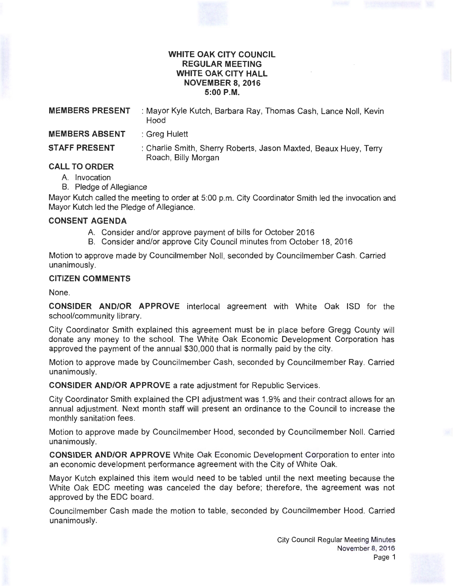#### **WHITE OAK CITY COUNCIL REGULAR MEETING WHITE OAK CITY HALL NOVEMBER 8, 2016 5:00P.M.**

**MEMBERS PRESENT** : Mayor Kyle Kutch, Barbara Ray, Thomas Cash, Lance Noll, Kevin Hood **MEMBERS ABSENT** : Greg Hulett

**STAFF PRESENT** : Charlie Smith, Sherry Roberts, Jason Maxted, Beaux Huey, Terry Roach, Billy Morgan

# **CALL TO ORDER**

- A. Invocation
- B. Pledge of Allegiance

Mayor Kutch called the meeting to order at 5:00 p.m. City Coordinator Smith led the invocation and Mayor Kutch led the Pledge of Allegiance.

## **CONSENT AGENDA**

- A. Consider and/or approve payment of bills for October 2016
- B. Consider and/or approve City Council minutes from October 18, 2016

Motion to approve made by Councilmember Noll, seconded by Councilmember Cash. Carried unanimously.

## **CITIZEN COMMENTS**

None.

**CONSIDER AND/OR APPROVE** interlocal agreement with White Oak ISO for the school/community library.

City Coordinator Smith explained this agreement must be in place before Gregg County will donate any money to the school. The White Oak Economic Development Corporation has approved the payment of the annual \$30,000 that is normally paid by the city.

Motion to approve made by Councilmember Cash, seconded by Councilmember Ray. Carried unanimously.

**CONSIDER AND/OR APPROVE** a rate adjustment for Republic Services.

City Coordinator Smith explained the CPI adjustment was 1.9% and their contract allows for an annual adjustment. Next month staff will present an ordinance to the Council to increase the monthly sanitation fees.

Motion to approve made by Councilmember Hood, seconded by Councilmember Noll. Carried unanimously.

**CONSIDER AND/OR APPROVE** White Oak Economic Development Corporation to enter into an economic development performance agreement with the City of White Oak.

Mayor Kutch explained this item would need to be tabled until the next meeting because the White Oak EDC meeting was canceled the day before; therefore, the agreement was not approved by the EDC board.

Councilmember Cash made the motion to table, seconded by Councilmember Hood. Carried unanimously.